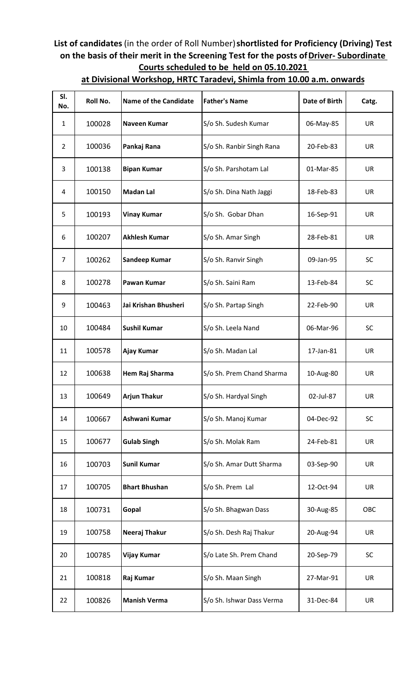## **List of candidates** (in the order of Roll Number) **shortlisted for Proficiency (Driving) Test on the basis of their merit in the Screening Test for the posts of Driver- Subordinate Courts scheduled to be held on 05.10.2021**

| SI.<br>No.     | Roll No. | <b>Name of the Candidate</b> | <b>Father's Name</b>      | Date of Birth | Catg.     |
|----------------|----------|------------------------------|---------------------------|---------------|-----------|
| 1              | 100028   | Naveen Kumar                 | S/o Sh. Sudesh Kumar      | 06-May-85     | <b>UR</b> |
| $\overline{2}$ | 100036   | Pankaj Rana                  | S/o Sh. Ranbir Singh Rana | 20-Feb-83     | UR        |
| 3              | 100138   | <b>Bipan Kumar</b>           | S/o Sh. Parshotam Lal     | 01-Mar-85     | <b>UR</b> |
| 4              | 100150   | <b>Madan Lal</b>             | S/o Sh. Dina Nath Jaggi   | 18-Feb-83     | <b>UR</b> |
| 5              | 100193   | <b>Vinay Kumar</b>           | S/o Sh. Gobar Dhan        | 16-Sep-91     | <b>UR</b> |
| 6              | 100207   | <b>Akhlesh Kumar</b>         | S/o Sh. Amar Singh        | 28-Feb-81     | UR        |
| 7              | 100262   | <b>Sandeep Kumar</b>         | S/o Sh. Ranvir Singh      | 09-Jan-95     | <b>SC</b> |
| 8              | 100278   | <b>Pawan Kumar</b>           | S/o Sh. Saini Ram         | 13-Feb-84     | <b>SC</b> |
| 9              | 100463   | Jai Krishan Bhusheri         | S/o Sh. Partap Singh      | 22-Feb-90     | <b>UR</b> |
| 10             | 100484   | <b>Sushil Kumar</b>          | S/o Sh. Leela Nand        | 06-Mar-96     | <b>SC</b> |
| 11             | 100578   | Ajay Kumar                   | S/o Sh. Madan Lal         | 17-Jan-81     | <b>UR</b> |
| 12             | 100638   | Hem Raj Sharma               | S/o Sh. Prem Chand Sharma | 10-Aug-80     | UR        |
| 13             | 100649   | <b>Arjun Thakur</b>          | S/o Sh. Hardyal Singh     | 02-Jul-87     | <b>UR</b> |
| 14             | 100667   | Ashwani Kumar                | S/o Sh. Manoj Kumar       | 04-Dec-92     | SC        |
| 15             | 100677   | <b>Gulab Singh</b>           | S/o Sh. Molak Ram         | 24-Feb-81     | <b>UR</b> |
| 16             | 100703   | <b>Sunil Kumar</b>           | S/o Sh. Amar Dutt Sharma  | 03-Sep-90     | <b>UR</b> |
| 17             | 100705   | <b>Bhart Bhushan</b>         | S/o Sh. Prem Lal          | 12-Oct-94     | <b>UR</b> |
| 18             | 100731   | Gopal                        | S/o Sh. Bhagwan Dass      | 30-Aug-85     | OBC       |
| 19             | 100758   | Neeraj Thakur                | S/o Sh. Desh Raj Thakur   | 20-Aug-94     | UR        |
| 20             | 100785   | <b>Vijay Kumar</b>           | S/o Late Sh. Prem Chand   | 20-Sep-79     | SC        |
| 21             | 100818   | Raj Kumar                    | S/o Sh. Maan Singh        | 27-Mar-91     | <b>UR</b> |
| 22             | 100826   | <b>Manish Verma</b>          | S/o Sh. Ishwar Dass Verma | 31-Dec-84     | UR        |

## **at Divisional Workshop, HRTC Taradevi, Shimla from 10.00 a.m. onwards**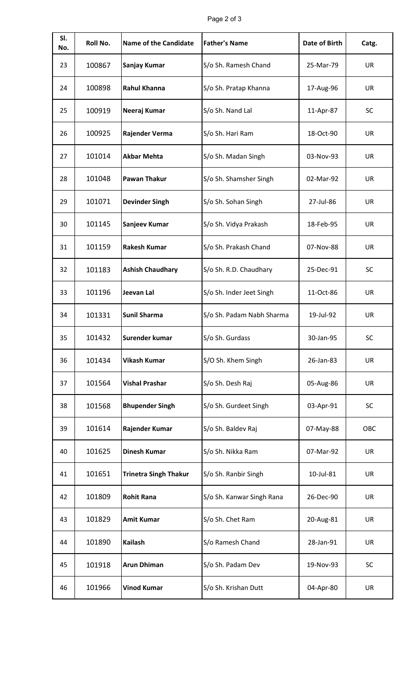## Page 2 of 3

| SI.<br>No. | Roll No. | <b>Name of the Candidate</b> | <b>Father's Name</b>      | <b>Date of Birth</b> | Catg.     |
|------------|----------|------------------------------|---------------------------|----------------------|-----------|
| 23         | 100867   | Sanjay Kumar                 | S/o Sh. Ramesh Chand      | 25-Mar-79            | <b>UR</b> |
| 24         | 100898   | <b>Rahul Khanna</b>          | S/o Sh. Pratap Khanna     | 17-Aug-96            | <b>UR</b> |
| 25         | 100919   | Neeraj Kumar                 | S/o Sh. Nand Lal          | 11-Apr-87            | <b>SC</b> |
| 26         | 100925   | Rajender Verma               | S/o Sh. Hari Ram          | 18-Oct-90            | UR        |
| 27         | 101014   | <b>Akbar Mehta</b>           | S/o Sh. Madan Singh       | 03-Nov-93            | UR        |
| 28         | 101048   | <b>Pawan Thakur</b>          | S/o Sh. Shamsher Singh    | 02-Mar-92            | <b>UR</b> |
| 29         | 101071   | <b>Devinder Singh</b>        | S/o Sh. Sohan Singh       | 27-Jul-86            | <b>UR</b> |
| 30         | 101145   | Sanjeev Kumar                | S/o Sh. Vidya Prakash     | 18-Feb-95            | <b>UR</b> |
| 31         | 101159   | <b>Rakesh Kumar</b>          | S/o Sh. Prakash Chand     | 07-Nov-88            | <b>UR</b> |
| 32         | 101183   | <b>Ashish Chaudhary</b>      | S/o Sh. R.D. Chaudhary    | 25-Dec-91            | <b>SC</b> |
| 33         | 101196   | Jeevan Lal                   | S/o Sh. Inder Jeet Singh  | 11-Oct-86            | UR        |
| 34         | 101331   | Sunil Sharma                 | S/o Sh. Padam Nabh Sharma | 19-Jul-92            | <b>UR</b> |
| 35         | 101432   | Surender kumar               | S/o Sh. Gurdass           | 30-Jan-95            | SC        |
| 36         | 101434   | <b>Vikash Kumar</b>          | S/O Sh. Khem Singh        | 26-Jan-83            | <b>UR</b> |
| 37         | 101564   | <b>Vishal Prashar</b>        | S/o Sh. Desh Raj          | 05-Aug-86            | <b>UR</b> |
| 38         | 101568   | <b>Bhupender Singh</b>       | S/o Sh. Gurdeet Singh     | 03-Apr-91            | <b>SC</b> |
| 39         | 101614   | Rajender Kumar               | S/o Sh. Baldev Raj        | 07-May-88            | OBC       |
| 40         | 101625   | <b>Dinesh Kumar</b>          | S/o Sh. Nikka Ram         | 07-Mar-92            | <b>UR</b> |
| 41         | 101651   | <b>Trinetra Singh Thakur</b> | S/o Sh. Ranbir Singh      | 10-Jul-81            | <b>UR</b> |
| 42         | 101809   | <b>Rohit Rana</b>            | S/o Sh. Kanwar Singh Rana | 26-Dec-90            | <b>UR</b> |
| 43         | 101829   | <b>Amit Kumar</b>            | S/o Sh. Chet Ram          | 20-Aug-81            | <b>UR</b> |
| 44         | 101890   | <b>Kailash</b>               | S/o Ramesh Chand          | 28-Jan-91            | <b>UR</b> |
| 45         | 101918   | <b>Arun Dhiman</b>           | S/o Sh. Padam Dev         | 19-Nov-93            | SC        |
| 46         | 101966   | <b>Vinod Kumar</b>           | S/o Sh. Krishan Dutt      | 04-Apr-80            | UR        |